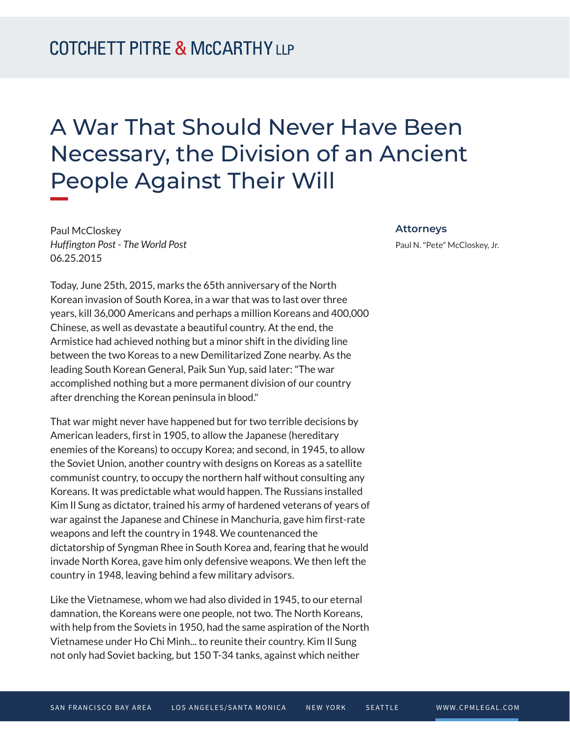## A War That Should Never Have Been Necessary, the Division of an Ancient People Against Their Will

Paul McCloskey *Huffington Post - The World Post* 06.25.2015

Today, June 25th, 2015, marks the 65th anniversary of the North Korean invasion of South Korea, in a war that was to last over three years, kill 36,000 Americans and perhaps a million Koreans and 400,000 Chinese, as well as devastate a beautiful country. At the end, the Armistice had achieved nothing but a minor shift in the dividing line between the two Koreas to a new Demilitarized Zone nearby. As the leading South Korean General, Paik Sun Yup, said later: "The war accomplished nothing but a more permanent division of our country after drenching the Korean peninsula in blood."

That war might never have happened but for two terrible decisions by American leaders, first in 1905, to allow the Japanese (hereditary enemies of the Koreans) to occupy Korea; and second, in 1945, to allow the Soviet Union, another country with designs on Koreas as a satellite communist country, to occupy the northern half without consulting any Koreans. It was predictable what would happen. The Russians installed Kim Il Sung as dictator, trained his army of hardened veterans of years of war against the Japanese and Chinese in Manchuria, gave him first-rate weapons and left the country in 1948. We countenanced the dictatorship of Syngman Rhee in South Korea and, fearing that he would invade North Korea, gave him only defensive weapons. We then left the country in 1948, leaving behind a few military advisors.

Like the Vietnamese, whom we had also divided in 1945, to our eternal damnation, the Koreans were one people, not two. The North Koreans, with help from the Soviets in 1950, had the same aspiration of the North Vietnamese under Ho Chi Minh... to reunite their country. Kim Il Sung not only had Soviet backing, but 150 T-34 tanks, against which neither

## **Attorneys**

Paul N. "Pete" McCloskey, Jr.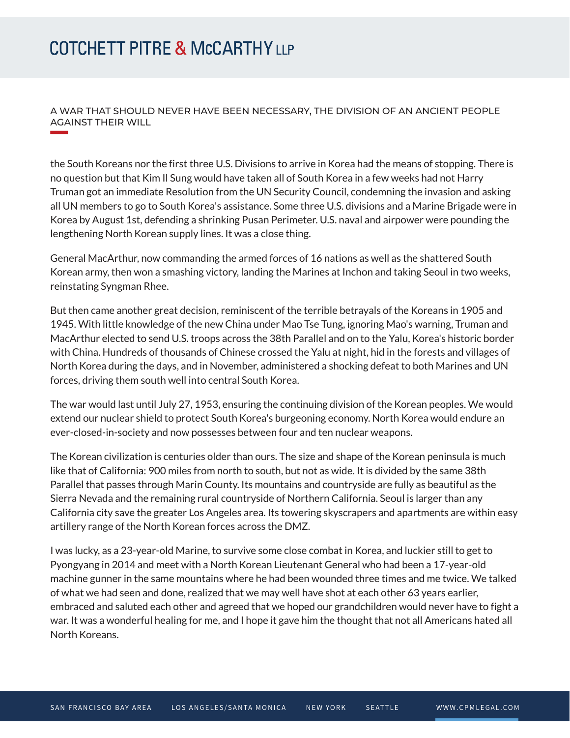A WAR THAT SHOULD NEVER HAVE BEEN NECESSARY, THE DIVISION OF AN ANCIENT PEOPLE AGAINST THEIR WILL

the South Koreans nor the first three U.S. Divisions to arrive in Korea had the means of stopping. There is no question but that Kim Il Sung would have taken all of South Korea in a few weeks had not Harry Truman got an immediate Resolution from the UN Security Council, condemning the invasion and asking all UN members to go to South Korea's assistance. Some three U.S. divisions and a Marine Brigade were in Korea by August 1st, defending a shrinking Pusan Perimeter. U.S. naval and airpower were pounding the lengthening North Korean supply lines. It was a close thing.

General MacArthur, now commanding the armed forces of 16 nations as well as the shattered South Korean army, then won a smashing victory, landing the Marines at Inchon and taking Seoul in two weeks, reinstating Syngman Rhee.

But then came another great decision, reminiscent of the terrible betrayals of the Koreans in 1905 and 1945. With little knowledge of the new China under Mao Tse Tung, ignoring Mao's warning, Truman and MacArthur elected to send U.S. troops across the 38th Parallel and on to the Yalu, Korea's historic border with China. Hundreds of thousands of Chinese crossed the Yalu at night, hid in the forests and villages of North Korea during the days, and in November, administered a shocking defeat to both Marines and UN forces, driving them south well into central South Korea.

The war would last until July 27, 1953, ensuring the continuing division of the Korean peoples. We would extend our nuclear shield to protect South Korea's burgeoning economy. North Korea would endure an ever-closed-in-society and now possesses between four and ten nuclear weapons.

The Korean civilization is centuries older than ours. The size and shape of the Korean peninsula is much like that of California: 900 miles from north to south, but not as wide. It is divided by the same 38th Parallel that passes through Marin County. Its mountains and countryside are fully as beautiful as the Sierra Nevada and the remaining rural countryside of Northern California. Seoul is larger than any California city save the greater Los Angeles area. Its towering skyscrapers and apartments are within easy artillery range of the North Korean forces across the DMZ.

I was lucky, as a 23-year-old Marine, to survive some close combat in Korea, and luckier still to get to Pyongyang in 2014 and meet with a North Korean Lieutenant General who had been a 17-year-old machine gunner in the same mountains where he had been wounded three times and me twice. We talked of what we had seen and done, realized that we may well have shot at each other 63 years earlier, embraced and saluted each other and agreed that we hoped our grandchildren would never have to fight a war. It was a wonderful healing for me, and I hope it gave him the thought that not all Americans hated all North Koreans.